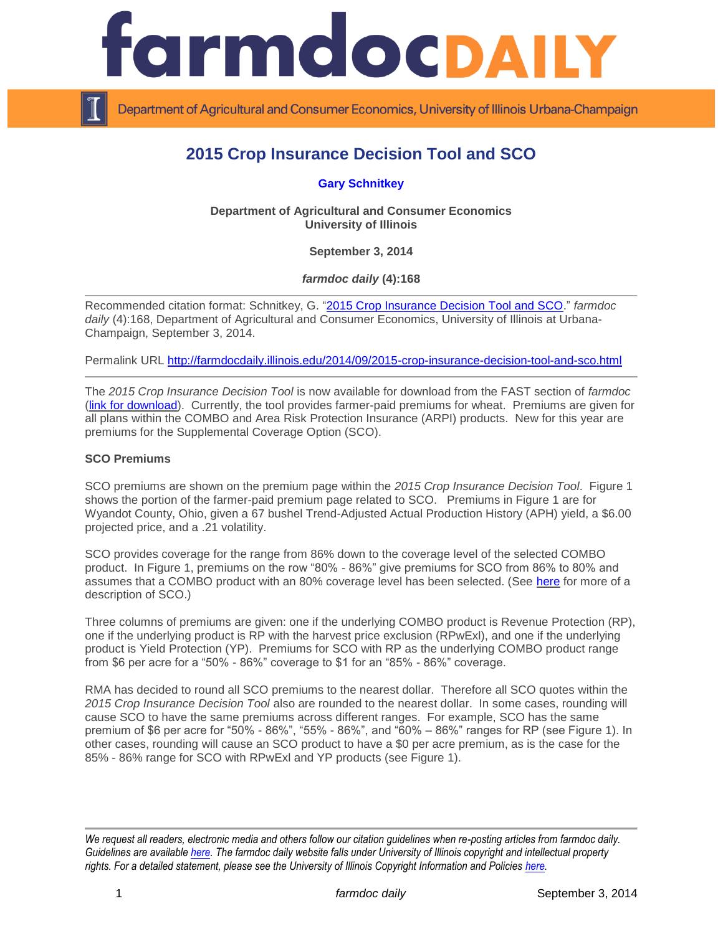

Department of Agricultural and Consumer Economics, University of Illinois Urbana-Champaign

# **2015 Crop Insurance Decision Tool and SCO**

**[Gary Schnitkey](http://farmdoc.illinois.edu/schnitkey/)**

**Department of Agricultural and Consumer Economics University of Illinois**

**September 3, 2014**

*farmdoc daily* **(4):168**

Recommended citation format: Schnitkey, G. ["2015 Crop Insurance Decision Tool and SCO.](http://farmdocdaily.illinois.edu/2014/09/2015-crop-insurance-decision-tool-and-sco.html)" *farmdoc daily* (4):168, Department of Agricultural and Consumer Economics, University of Illinois at Urbana-Champaign, September 3, 2014.

Permalink URL<http://farmdocdaily.illinois.edu/2014/09/2015-crop-insurance-decision-tool-and-sco.html>

The *2015 Crop Insurance Decision Tool* is now available for download from the FAST section of *farmdoc*  [\(link for download\)](http://farmdoc.illinois.edu/pubs/FASTtool_special_cropins2015_Fall.asp). Currently, the tool provides farmer-paid premiums for wheat. Premiums are given for all plans within the COMBO and Area Risk Protection Insurance (ARPI) products. New for this year are premiums for the Supplemental Coverage Option (SCO).

#### **SCO Premiums**

SCO premiums are shown on the premium page within the *2015 Crop Insurance Decision Tool*. Figure 1 shows the portion of the farmer-paid premium page related to SCO. Premiums in Figure 1 are for Wyandot County, Ohio, given a 67 bushel Trend-Adjusted Actual Production History (APH) yield, a \$6.00 projected price, and a .21 volatility.

SCO provides coverage for the range from 86% down to the coverage level of the selected COMBO product. In Figure 1, premiums on the row "80% - 86%" give premiums for SCO from 86% to 80% and assumes that a COMBO product with an 80% coverage level has been selected. (See [here](http://farmdocdaily.illinois.edu/2014/08/supplemental-coverage-option-wheat.html) for more of a description of SCO.)

Three columns of premiums are given: one if the underlying COMBO product is Revenue Protection (RP), one if the underlying product is RP with the harvest price exclusion (RPwExl), and one if the underlying product is Yield Protection (YP). Premiums for SCO with RP as the underlying COMBO product range from \$6 per acre for a "50% - 86%" coverage to \$1 for an "85% - 86%" coverage.

RMA has decided to round all SCO premiums to the nearest dollar. Therefore all SCO quotes within the *2015 Crop Insurance Decision Tool* also are rounded to the nearest dollar. In some cases, rounding will cause SCO to have the same premiums across different ranges. For example, SCO has the same premium of \$6 per acre for "50% - 86%", "55% - 86%", and "60% – 86%" ranges for RP (see Figure 1). In other cases, rounding will cause an SCO product to have a \$0 per acre premium, as is the case for the 85% - 86% range for SCO with RPwExl and YP products (see Figure 1).

*We request all readers, electronic media and others follow our citation guidelines when re-posting articles from farmdoc daily. Guidelines are available [here.](http://farmdocdaily.illinois.edu/citationguide.html) The farmdoc daily website falls under University of Illinois copyright and intellectual property rights. For a detailed statement, please see the University of Illinois Copyright Information and Policies [here.](http://www.cio.illinois.edu/policies/copyright/)*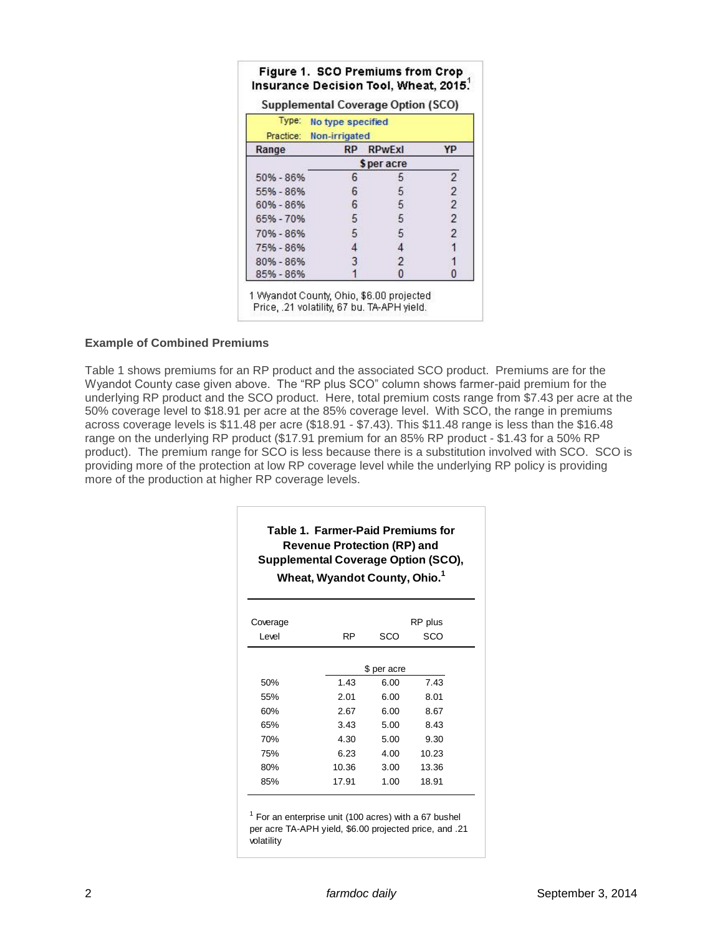|           |                                                    | Supplemental Coverage Option (SCO) |                |  |  |  |
|-----------|----------------------------------------------------|------------------------------------|----------------|--|--|--|
|           | Type: No type specified<br>Practice: Non-irrigated |                                    |                |  |  |  |
| Range     | <b>RP</b>                                          | <b>RPwExI</b>                      | YP             |  |  |  |
|           | \$ per acre                                        |                                    |                |  |  |  |
| 50% - 86% | 6                                                  |                                    | $\overline{2}$ |  |  |  |
| 55% - 86% | 6                                                  | 5                                  | $\overline{2}$ |  |  |  |
| 60% - 86% | 6                                                  | 5                                  | $\overline{2}$ |  |  |  |
| 65% - 70% | 5                                                  | 5                                  | $\overline{2}$ |  |  |  |
| 70% - 86% | 5                                                  | 5                                  | $\overline{2}$ |  |  |  |
| 75% - 86% |                                                    | 4                                  |                |  |  |  |
| 80% - 86% |                                                    | 2                                  |                |  |  |  |
| 85% - 86% |                                                    | 0                                  |                |  |  |  |

1 Wyandot County, Ohio, \$6.00 projected Price, .21 volatility, 67 bu. TA-APH yield.

### **Example of Combined Premiums**

Table 1 shows premiums for an RP product and the associated SCO product. Premiums are for the Wyandot County case given above. The "RP plus SCO" column shows farmer-paid premium for the underlying RP product and the SCO product. Here, total premium costs range from \$7.43 per acre at the 50% coverage level to \$18.91 per acre at the 85% coverage level. With SCO, the range in premiums across coverage levels is \$11.48 per acre (\$18.91 - \$7.43). This \$11.48 range is less than the \$16.48 range on the underlying RP product (\$17.91 premium for an 85% RP product - \$1.43 for a 50% RP product). The premium range for SCO is less because there is a substitution involved with SCO. SCO is providing more of the protection at low RP coverage level while the underlying RP policy is providing more of the production at higher RP coverage levels.

| Table 1. Farmer-Paid Premiums for         |
|-------------------------------------------|
| <b>Revenue Protection (RP) and</b>        |
| Supplemental Coverage Option (SCO),       |
| Wheat, Wyandot County, Ohio. <sup>1</sup> |

| Coverage<br>Level | RP          | SCO  | RP plus<br>SCO |  |  |  |
|-------------------|-------------|------|----------------|--|--|--|
|                   | \$ per acre |      |                |  |  |  |
| 50%               | 1.43        | 6.00 | 7.43           |  |  |  |
| 55%               | 2.01        | 6.00 | 8.01           |  |  |  |
| 60%               | 2.67        | 6.00 | 8.67           |  |  |  |
| 65%               | 3.43        | 5.00 | 8.43           |  |  |  |
| 70%               | 4.30        | 5.00 | 9.30           |  |  |  |
| 75%               | 6.23        | 4.00 | 10.23          |  |  |  |
| 80%               | 10.36       | 3.00 | 13.36          |  |  |  |
| 85%               | 17.91       | 1.00 | 18.91          |  |  |  |

 $1$  For an enterprise unit (100 acres) with a 67 bushel per acre TA-APH yield, \$6.00 projected price, and .21 volatility